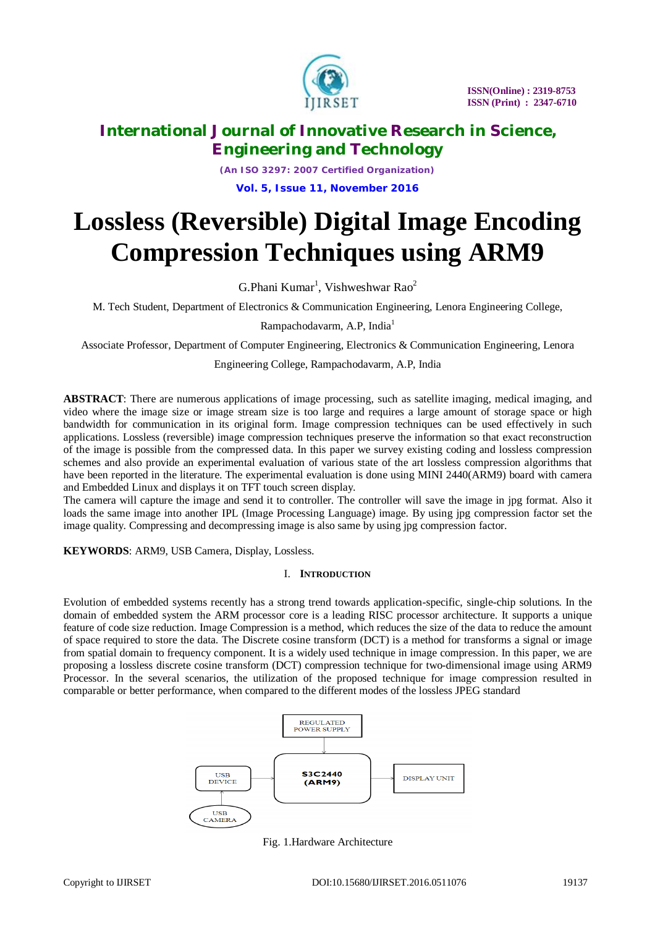

*(An ISO 3297: 2007 Certified Organization)* **Vol. 5, Issue 11, November 2016**

# **Lossless (Reversible) Digital Image Encoding Compression Techniques using ARM9**

 $G.P$ hani Kumar<sup>1</sup>, Vishweshwar Rao<sup>2</sup>

M. Tech Student, Department of Electronics & Communication Engineering, Lenora Engineering College,

Rampachodavarm, A.P, India<sup>1</sup>

Associate Professor, Department of Computer Engineering, Electronics & Communication Engineering, Lenora

### Engineering College, Rampachodavarm, A.P, India

**ABSTRACT**: There are numerous applications of image processing, such as satellite imaging, medical imaging, and video where the image size or image stream size is too large and requires a large amount of storage space or high bandwidth for communication in its original form. Image compression techniques can be used effectively in such applications. Lossless (reversible) image compression techniques preserve the information so that exact reconstruction of the image is possible from the compressed data. In this paper we survey existing coding and lossless compression schemes and also provide an experimental evaluation of various state of the art lossless compression algorithms that have been reported in the literature. The experimental evaluation is done using MINI 2440(ARM9) board with camera and Embedded Linux and displays it on TFT touch screen display.

The camera will capture the image and send it to controller. The controller will save the image in jpg format. Also it loads the same image into another IPL (Image Processing Language) image. By using jpg compression factor set the image quality. Compressing and decompressing image is also same by using jpg compression factor.

**KEYWORDS**: ARM9, USB Camera, Display, Lossless.

### I. **INTRODUCTION**

Evolution of embedded systems recently has a strong trend towards application-specific, single-chip solutions. In the domain of embedded system the ARM processor core is a leading RISC processor architecture. It supports a unique feature of code size reduction. Image Compression is a method, which reduces the size of the data to reduce the amount of space required to store the data. The Discrete cosine transform (DCT) is a method for transforms a signal or image from spatial domain to frequency component. It is a widely used technique in image compression. In this paper, we are proposing a lossless discrete cosine transform (DCT) compression technique for two-dimensional image using ARM9 Processor. In the several scenarios, the utilization of the proposed technique for image compression resulted in comparable or better performance, when compared to the different modes of the lossless JPEG standard



Fig. 1.Hardware Architecture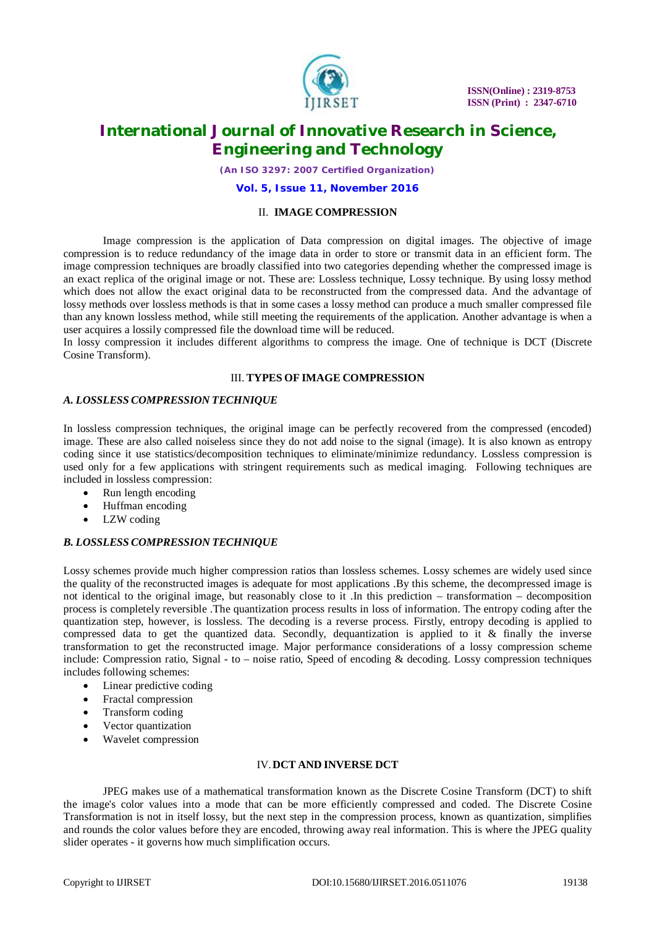

*(An ISO 3297: 2007 Certified Organization)*

#### **Vol. 5, Issue 11, November 2016**

#### II. **IMAGE COMPRESSION**

Image compression is the application of Data compression on digital images. The objective of image compression is to reduce redundancy of the image data in order to store or transmit data in an efficient form. The image compression techniques are broadly classified into two categories depending whether the compressed image is an exact replica of the original image or not. These are: Lossless technique, Lossy technique. By using lossy method which does not allow the exact original data to be reconstructed from the compressed data. And the advantage of lossy methods over lossless methods is that in some cases a lossy method can produce a much smaller compressed file than any known lossless method, while still meeting the requirements of the application. Another advantage is when a user acquires a lossily compressed file the download time will be reduced.

In lossy compression it includes different algorithms to compress the image. One of technique is DCT (Discrete Cosine Transform).

#### III. **TYPES OF IMAGE COMPRESSION**

### *A. LOSSLESS COMPRESSION TECHNIQUE*

In lossless compression techniques, the original image can be perfectly recovered from the compressed (encoded) image. These are also called noiseless since they do not add noise to the signal (image). It is also known as entropy coding since it use statistics/decomposition techniques to eliminate/minimize redundancy. Lossless compression is used only for a few applications with stringent requirements such as medical imaging. Following techniques are included in lossless compression:

- Run length encoding
- Huffman encoding
- LZW coding

### *B. LOSSLESS COMPRESSION TECHNIQUE*

Lossy schemes provide much higher compression ratios than lossless schemes. Lossy schemes are widely used since the quality of the reconstructed images is adequate for most applications .By this scheme, the decompressed image is not identical to the original image, but reasonably close to it .In this prediction – transformation – decomposition process is completely reversible .The quantization process results in loss of information. The entropy coding after the quantization step, however, is lossless. The decoding is a reverse process. Firstly, entropy decoding is applied to compressed data to get the quantized data. Secondly, dequantization is applied to it & finally the inverse transformation to get the reconstructed image. Major performance considerations of a lossy compression scheme include: Compression ratio, Signal - to – noise ratio, Speed of encoding & decoding. Lossy compression techniques includes following schemes:

- Linear predictive coding
- Fractal compression
- Transform coding
- Vector quantization
- Wavelet compression

### IV.**DCT AND INVERSE DCT**

JPEG makes use of a mathematical transformation known as the Discrete Cosine Transform (DCT) to shift the image's color values into a mode that can be more efficiently compressed and coded. The Discrete Cosine Transformation is not in itself lossy, but the next step in the compression process, known as quantization, simplifies and rounds the color values before they are encoded, throwing away real information. This is where the JPEG quality slider operates - it governs how much simplification occurs.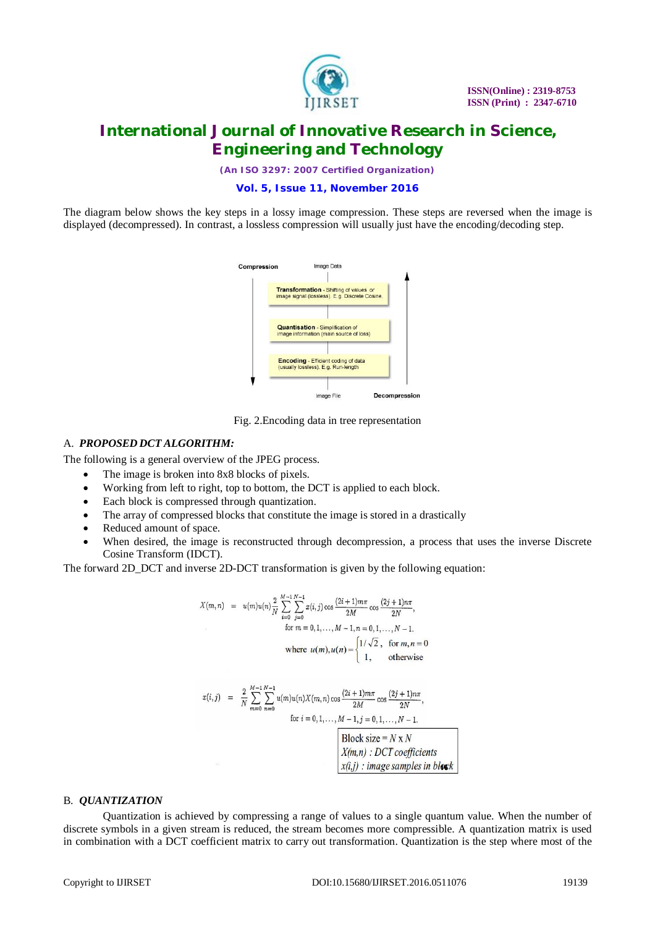

*(An ISO 3297: 2007 Certified Organization)*

### **Vol. 5, Issue 11, November 2016**

The diagram below shows the key steps in a lossy image compression. These steps are reversed when the image is displayed (decompressed). In contrast, a lossless compression will usually just have the encoding/decoding step.



Fig. 2.Encoding data in tree representation

#### A. *PROPOSED DCT ALGORITHM:*

The following is a general overview of the JPEG process.

- The image is broken into 8x8 blocks of pixels.
- Working from left to right, top to bottom, the DCT is applied to each block.
- Each block is compressed through quantization.
- The array of compressed blocks that constitute the image is stored in a drastically
- Reduced amount of space.
- When desired, the image is reconstructed through decompression, a process that uses the inverse Discrete Cosine Transform (IDCT).

The forward 2D\_DCT and inverse 2D-DCT transformation is given by the following equation:

$$
X(m, n) = u(m)u(n)\frac{\gamma}{N} \sum_{i=0}^{M-1} \sum_{j=0}^{N-1} x(i, j) \cos \frac{(2i+1)m\pi}{2M} \cos \frac{(2j+1)n\pi}{2N},
$$
  
for  $m = 0, 1, ..., M-1, n = 0, 1, ..., N-1$ .  
where  $u(m), u(n) = \begin{cases} 1/\sqrt{2}, & \text{for } m, n = 0\\ 1, & \text{otherwise} \end{cases}$ 

$$
x(i,j) = \frac{2}{N} \sum_{m=0}^{M-1} \sum_{n=0}^{N-1} u(m)u(n)X(m,n)\cos\frac{(2i+1)m\pi}{2M}\cos\frac{(2j+1)n\pi}{2N},
$$
  
for  $i = 0,1,..., M-1, j = 0,1,..., N-1$ .  
Block size = N x N  

$$
X(m,n): DCT coefficients
$$

$$
x(i,j): image samples in block
$$

#### B. *QUANTIZATION*

Quantization is achieved by compressing a range of values to a single quantum value. When the number of discrete symbols in a given stream is reduced, the stream becomes more compressible. A quantization matrix is used in combination with a DCT coefficient matrix to carry out transformation. Quantization is the step where most of the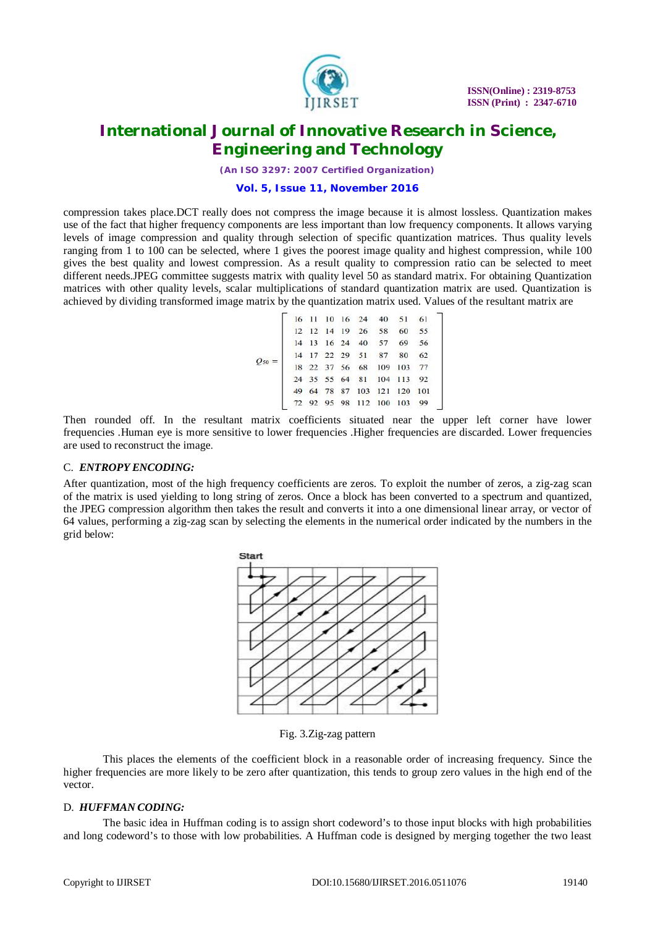

*(An ISO 3297: 2007 Certified Organization)*

#### **Vol. 5, Issue 11, November 2016**

compression takes place.DCT really does not compress the image because it is almost lossless. Quantization makes use of the fact that higher frequency components are less important than low frequency components. It allows varying levels of image compression and quality through selection of specific quantization matrices. Thus quality levels ranging from 1 to 100 can be selected, where 1 gives the poorest image quality and highest compression, while 100 gives the best quality and lowest compression. As a result quality to compression ratio can be selected to meet different needs.JPEG committee suggests matrix with quality level 50 as standard matrix. For obtaining Quantization matrices with other quality levels, scalar multiplications of standard quantization matrix are used. Quantization is achieved by dividing transformed image matrix by the quantization matrix used. Values of the resultant matrix are

| $O_{50} =$ |  |  | 16 11 10 16 24 40 51 61     |  |  |
|------------|--|--|-----------------------------|--|--|
|            |  |  | 12 12 14 19 26 58 60 55     |  |  |
|            |  |  | 14 13 16 24 40 57 69 56     |  |  |
|            |  |  | 14 17 22 29 51 87 80 62     |  |  |
|            |  |  | 18 22 37 56 68 109 103 77   |  |  |
|            |  |  | 24 35 55 64 81 104 113 92   |  |  |
|            |  |  | 49 64 78 87 103 121 120 101 |  |  |
|            |  |  | 72 92 95 98 112 100 103 99  |  |  |
|            |  |  |                             |  |  |

Then rounded off. In the resultant matrix coefficients situated near the upper left corner have lower frequencies .Human eye is more sensitive to lower frequencies .Higher frequencies are discarded. Lower frequencies are used to reconstruct the image.

### C. *ENTROPY ENCODING:*

After quantization, most of the high frequency coefficients are zeros. To exploit the number of zeros, a zig-zag scan of the matrix is used yielding to long string of zeros. Once a block has been converted to a spectrum and quantized, the JPEG compression algorithm then takes the result and converts it into a one dimensional linear array, or vector of 64 values, performing a zig-zag scan by selecting the elements in the numerical order indicated by the numbers in the grid below:



Fig. 3.Zig-zag pattern

This places the elements of the coefficient block in a reasonable order of increasing frequency. Since the higher frequencies are more likely to be zero after quantization, this tends to group zero values in the high end of the vector.

### D. *HUFFMAN CODING:*

The basic idea in Huffman coding is to assign short codeword's to those input blocks with high probabilities and long codeword's to those with low probabilities. A Huffman code is designed by merging together the two least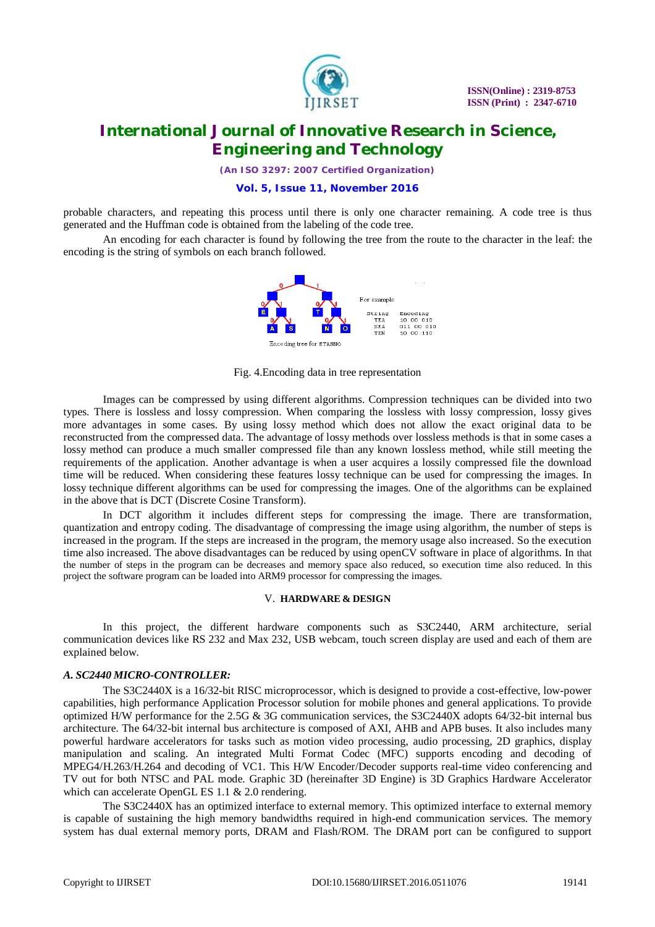

*(An ISO 3297: 2007 Certified Organization)*

#### **Vol. 5, Issue 11, November 2016**

probable characters, and repeating this process until there is only one character remaining. A code tree is thus generated and the Huffman code is obtained from the labeling of the code tree.

An encoding for each character is found by following the tree from the route to the character in the leaf: the encoding is the string of symbols on each branch followed.



Fig. 4.Encoding data in tree representation

Images can be compressed by using different algorithms. Compression techniques can be divided into two types. There is lossless and lossy compression. When comparing the lossless with lossy compression, lossy gives more advantages in some cases. By using lossy method which does not allow the exact original data to be reconstructed from the compressed data. The advantage of lossy methods over lossless methods is that in some cases a lossy method can produce a much smaller compressed file than any known lossless method, while still meeting the requirements of the application. Another advantage is when a user acquires a lossily compressed file the download time will be reduced. When considering these features lossy technique can be used for compressing the images. In lossy technique different algorithms can be used for compressing the images. One of the algorithms can be explained in the above that is DCT (Discrete Cosine Transform).

In DCT algorithm it includes different steps for compressing the image. There are transformation, quantization and entropy coding. The disadvantage of compressing the image using algorithm, the number of steps is increased in the program. If the steps are increased in the program, the memory usage also increased. So the execution time also increased. The above disadvantages can be reduced by using openCV software in place of algorithms. In that the number of steps in the program can be decreases and memory space also reduced, so execution time also reduced. In this project the software program can be loaded into ARM9 processor for compressing the images.

#### V. **HARDWARE & DESIGN**

In this project, the different hardware components such as S3C2440, ARM architecture, serial communication devices like RS 232 and Max 232, USB webcam, touch screen display are used and each of them are explained below.

#### *A. SC2440 MICRO-CONTROLLER:*

The S3C2440X is a 16/32-bit RISC microprocessor, which is designed to provide a cost-effective, low-power capabilities, high performance Application Processor solution for mobile phones and general applications. To provide optimized H/W performance for the 2.5G & 3G communication services, the S3C2440X adopts 64/32-bit internal bus architecture. The 64/32-bit internal bus architecture is composed of AXI, AHB and APB buses. It also includes many powerful hardware accelerators for tasks such as motion video processing, audio processing, 2D graphics, display manipulation and scaling. An integrated Multi Format Codec (MFC) supports encoding and decoding of MPEG4/H.263/H.264 and decoding of VC1. This H/W Encoder/Decoder supports real-time video conferencing and TV out for both NTSC and PAL mode. Graphic 3D (hereinafter 3D Engine) is 3D Graphics Hardware Accelerator which can accelerate OpenGL ES 1.1 & 2.0 rendering.

The S3C2440X has an optimized interface to external memory. This optimized interface to external memory is capable of sustaining the high memory bandwidths required in high-end communication services. The memory system has dual external memory ports, DRAM and Flash/ROM. The DRAM port can be configured to support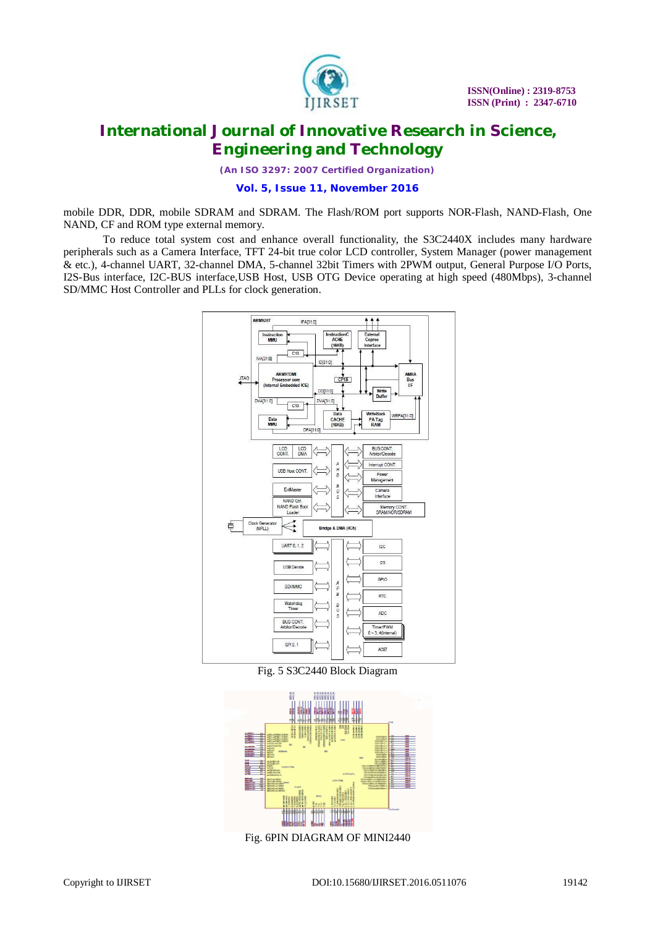

*(An ISO 3297: 2007 Certified Organization)*

#### **Vol. 5, Issue 11, November 2016**

mobile DDR, DDR, mobile SDRAM and SDRAM. The Flash/ROM port supports NOR-Flash, NAND-Flash, One NAND, CF and ROM type external memory.

To reduce total system cost and enhance overall functionality, the S3C2440X includes many hardware peripherals such as a Camera Interface, TFT 24-bit true color LCD controller, System Manager (power management & etc.), 4-channel UART, 32-channel DMA, 5-channel 32bit Timers with 2PWM output, General Purpose I/O Ports, I2S-Bus interface, I2C-BUS interface,USB Host, USB OTG Device operating at high speed (480Mbps), 3-channel SD/MMC Host Controller and PLLs for clock generation.



Fig. 5 S3C2440 Block Diagram



Fig. 6PIN DIAGRAM OF MINI2440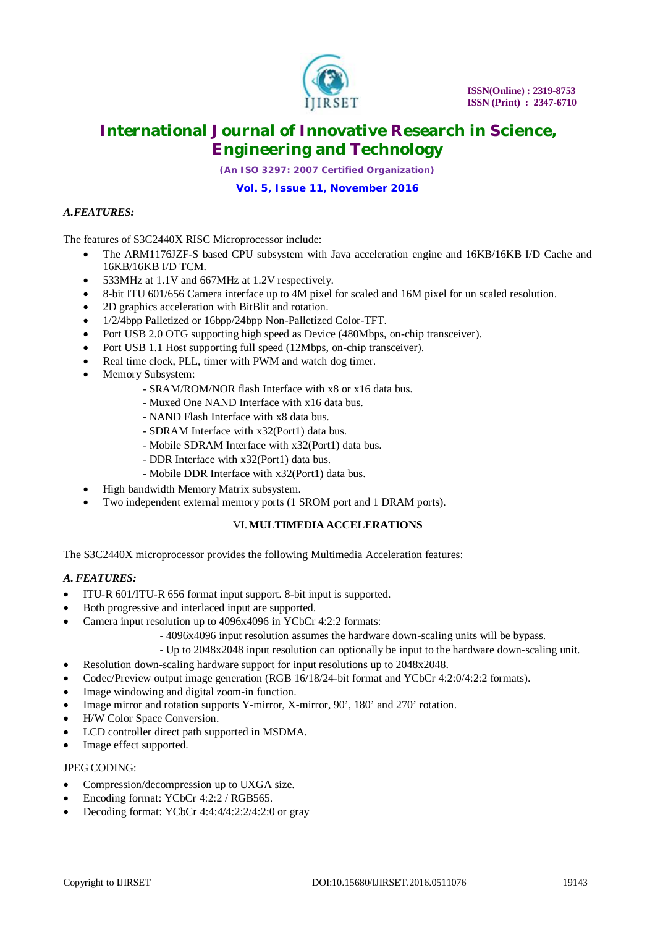

*(An ISO 3297: 2007 Certified Organization)*

# **Vol. 5, Issue 11, November 2016**

### *A.FEATURES:*

The features of S3C2440X RISC Microprocessor include:

- The ARM1176JZF-S based CPU subsystem with Java acceleration engine and 16KB/16KB I/D Cache and 16KB/16KB I/D TCM.
- 533MHz at 1.1V and 667MHz at 1.2V respectively.
- 8-bit ITU 601/656 Camera interface up to 4M pixel for scaled and 16M pixel for un scaled resolution.
- 2D graphics acceleration with BitBlit and rotation.
- 1/2/4bpp Palletized or 16bpp/24bpp Non-Palletized Color-TFT.
- Port USB 2.0 OTG supporting high speed as Device (480Mbps, on-chip transceiver).
- Port USB 1.1 Host supporting full speed (12Mbps, on-chip transceiver).
- Real time clock, PLL, timer with PWM and watch dog timer.
- Memory Subsystem:
	- SRAM/ROM/NOR flash Interface with x8 or x16 data bus.
	- Muxed One NAND Interface with x16 data bus.
	- NAND Flash Interface with x8 data bus.
	- SDRAM Interface with x32(Port1) data bus.
	- Mobile SDRAM Interface with x32(Port1) data bus.
	- DDR Interface with x32(Port1) data bus.
	- Mobile DDR Interface with x32(Port1) data bus.
- High bandwidth Memory Matrix subsystem.
- Two independent external memory ports (1 SROM port and 1 DRAM ports).

# VI.**MULTIMEDIA ACCELERATIONS**

The S3C2440X microprocessor provides the following Multimedia Acceleration features:

#### *A. FEATURES:*

- ITU-R 601/ITU-R 656 format input support. 8-bit input is supported.
- Both progressive and interlaced input are supported.
- Camera input resolution up to 4096x4096 in YCbCr 4:2:2 formats:
	- 4096x4096 input resolution assumes the hardware down-scaling units will be bypass.
	- Up to 2048x2048 input resolution can optionally be input to the hardware down-scaling unit.
- Resolution down-scaling hardware support for input resolutions up to 2048x2048.
- Codec/Preview output image generation (RGB 16/18/24-bit format and YCbCr 4:2:0/4:2:2 formats).
- Image windowing and digital zoom-in function.
- Image mirror and rotation supports Y-mirror, X-mirror, 90', 180' and 270' rotation.
- H/W Color Space Conversion.
- LCD controller direct path supported in MSDMA.
- Image effect supported.

### JPEG CODING:

- Compression/decompression up to UXGA size.
- Encoding format: YCbCr 4:2:2 / RGB565.
- Decoding format: YCbCr 4:4:4/4:2:2/4:2:0 or gray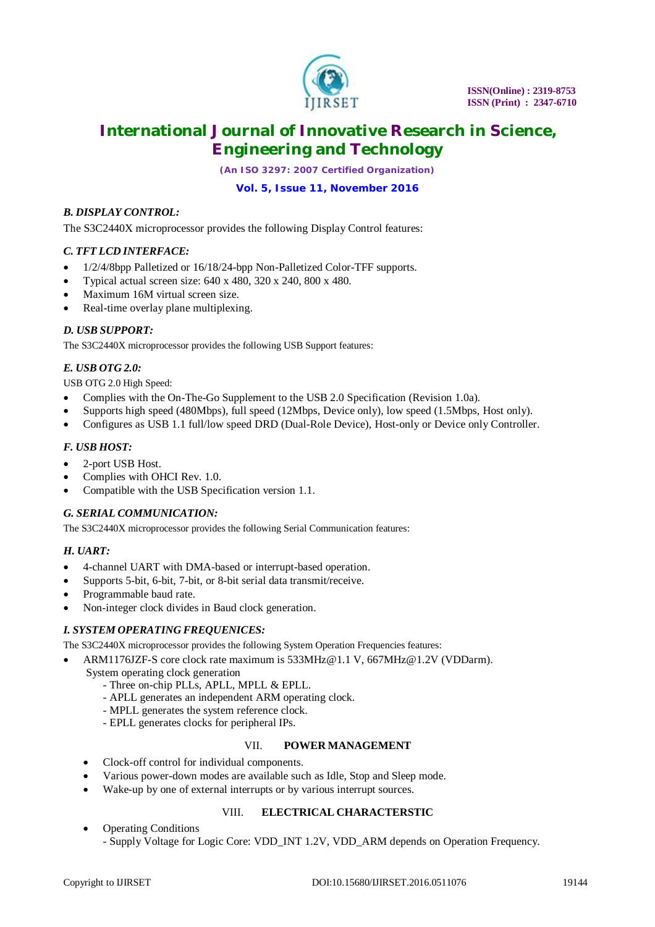

*(An ISO 3297: 2007 Certified Organization)*

# **Vol. 5, Issue 11, November 2016**

### *B. DISPLAY CONTROL:*

The S3C2440X microprocessor provides the following Display Control features:

### *C. TFT LCD INTERFACE:*

- 1/2/4/8bpp Palletized or 16/18/24-bpp Non-Palletized Color-TFF supports.
- Typical actual screen size: 640 x 480, 320 x 240, 800 x 480.
- Maximum 16M virtual screen size.
- Real-time overlay plane multiplexing.

### *D. USB SUPPORT:*

The S3C2440X microprocessor provides the following USB Support features:

# *E. USB OTG 2.0:*

USB OTG 2.0 High Speed:

- Complies with the On-The-Go Supplement to the USB 2.0 Specification (Revision 1.0a).
- Supports high speed (480Mbps), full speed (12Mbps, Device only), low speed (1.5Mbps, Host only).
- Configures as USB 1.1 full/low speed DRD (Dual-Role Device), Host-only or Device only Controller.

### *F. USB HOST:*

- 2-port USB Host.
- Complies with OHCI Rev. 1.0.
- Compatible with the USB Specification version 1.1.

### *G. SERIAL COMMUNICATION:*

The S3C2440X microprocessor provides the following Serial Communication features:

### *H. UART:*

- 4-channel UART with DMA-based or interrupt-based operation.
- Supports 5-bit, 6-bit, 7-bit, or 8-bit serial data transmit/receive.
- Programmable baud rate.
- Non-integer clock divides in Baud clock generation.

### *I. SYSTEM OPERATING FREQUENICES:*

The S3C2440X microprocessor provides the following System Operation Frequencies features:

- ARM1176JZF-S core clock rate maximum is 533MHz@1.1 V, [667MHz@1.2V](mailto:667MHz@1.2V) (VDDarm).
	- System operating clock generation
		- Three on-chip PLLs, APLL, MPLL & EPLL.
		- APLL generates an independent ARM operating clock.
		- MPLL generates the system reference clock.
		- EPLL generates clocks for peripheral IPs.

#### VII. **POWER MANAGEMENT**

- Clock-off control for individual components.
- Various power-down modes are available such as Idle, Stop and Sleep mode.
- Wake-up by one of external interrupts or by various interrupt sources.

### VIII. **ELECTRICAL CHARACTERSTIC**

 Operating Conditions - Supply Voltage for Logic Core: VDD\_INT 1.2V, VDD\_ARM depends on Operation Frequency.